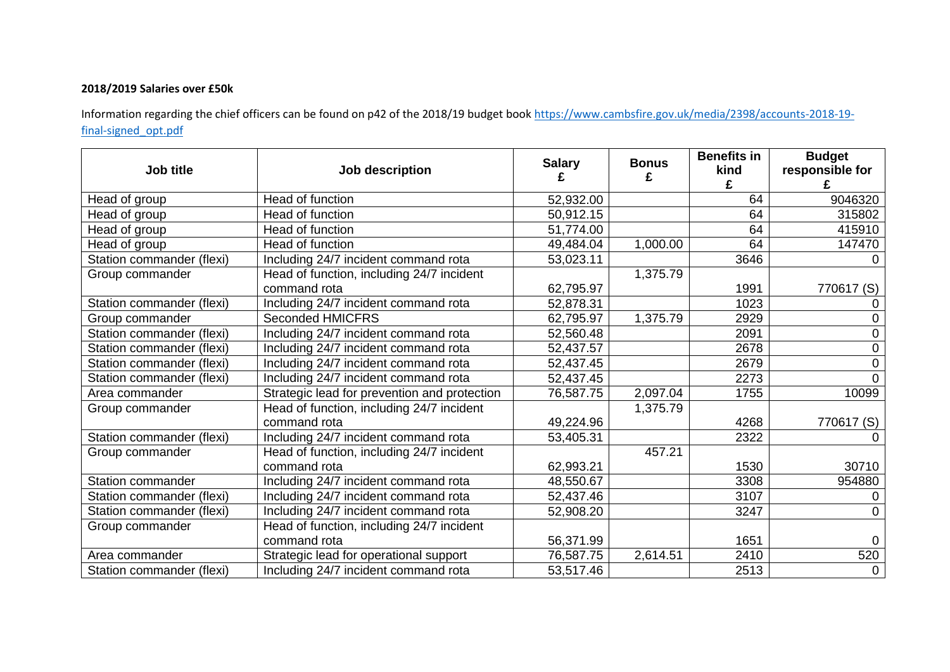## **2018/2019 Salaries over £50k**

Information regarding the chief officers can be found on p42 of the 2018/19 budget book [https://www.cambsfire.gov.uk/media/2398/accounts-2018-19](https://www.cambsfire.gov.uk/media/2398/accounts-2018-19-final-signed_opt.pdf) [final-signed\\_opt.pdf](https://www.cambsfire.gov.uk/media/2398/accounts-2018-19-final-signed_opt.pdf)

| Job title                 | Job description                                           | <b>Salary</b> | <b>Bonus</b><br>£ | <b>Benefits in</b><br>kind<br>£ | <b>Budget</b><br>responsible for |
|---------------------------|-----------------------------------------------------------|---------------|-------------------|---------------------------------|----------------------------------|
| Head of group             | Head of function                                          | 52,932.00     |                   | 64                              | 9046320                          |
| Head of group             | Head of function                                          | 50,912.15     |                   | 64                              | 315802                           |
| Head of group             | Head of function                                          | 51,774.00     |                   | 64                              | 415910                           |
| Head of group             | Head of function                                          | 49,484.04     | 1,000.00          | 64                              | 147470                           |
| Station commander (flexi) | Including 24/7 incident command rota                      | 53,023.11     |                   | 3646                            |                                  |
| Group commander           | Head of function, including 24/7 incident                 |               | 1,375.79          |                                 |                                  |
|                           | command rota                                              | 62,795.97     |                   | 1991                            | 770617 (S)                       |
| Station commander (flexi) | Including 24/7 incident command rota                      | 52,878.31     |                   | 1023                            |                                  |
| Group commander           | <b>Seconded HMICFRS</b>                                   | 62,795.97     | 1,375.79          | 2929                            | 0                                |
| Station commander (flexi) | Including 24/7 incident command rota                      | 52,560.48     |                   | 2091                            | $\Omega$                         |
| Station commander (flexi) | Including 24/7 incident command rota                      | 52,437.57     |                   | 2678                            | $\overline{0}$                   |
| Station commander (flexi) | Including 24/7 incident command rota                      | 52,437.45     |                   | 2679                            | $\Omega$                         |
| Station commander (flexi) | Including 24/7 incident command rota                      | 52,437.45     |                   | 2273                            | $\Omega$                         |
| Area commander            | Strategic lead for prevention and protection              | 76,587.75     | 2,097.04          | 1755                            | 10099                            |
| Group commander           | Head of function, including 24/7 incident<br>command rota | 49,224.96     | 1,375.79          | 4268                            | 770617 (S)                       |
| Station commander (flexi) | Including 24/7 incident command rota                      | 53,405.31     |                   | 2322                            |                                  |
| Group commander           | Head of function, including 24/7 incident                 |               | 457.21            |                                 |                                  |
|                           | command rota                                              | 62,993.21     |                   | 1530                            | 30710                            |
| <b>Station commander</b>  | Including 24/7 incident command rota                      | 48,550.67     |                   | 3308                            | 954880                           |
| Station commander (flexi) | Including 24/7 incident command rota                      | 52,437.46     |                   | 3107                            |                                  |
| Station commander (flexi) | Including 24/7 incident command rota                      | 52,908.20     |                   | 3247                            | $\Omega$                         |
| Group commander           | Head of function, including 24/7 incident                 |               |                   |                                 |                                  |
|                           | command rota                                              | 56,371.99     |                   | 1651                            | 0                                |
| Area commander            | Strategic lead for operational support                    | 76,587.75     | 2,614.51          | 2410                            | 520                              |
| Station commander (flexi) | Including 24/7 incident command rota                      | 53,517.46     |                   | 2513                            | $\mathbf 0$                      |